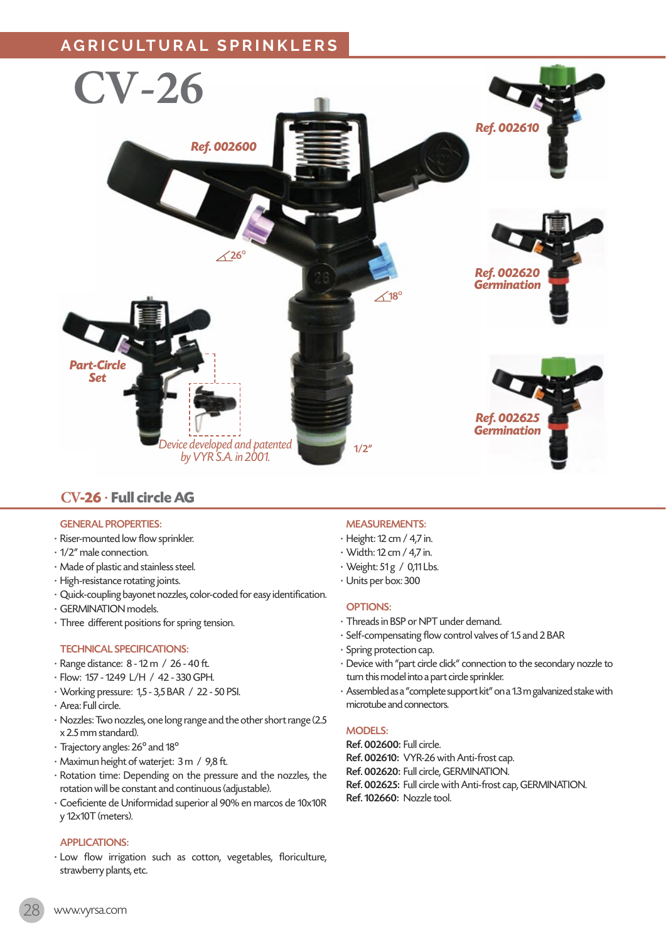

# **CV-26** · **Full circle AG**

#### GENERAL PROPERTIES:

- · Riser-mounted low flow sprinkler.
- · 1/2" male connection.
- · Made of plastic and stainless steel.
- · High-resistance rotating joints.
- · Quick-coupling bayonet nozzles, color-coded for easy identification.
- · GERMINATION models.
- · Three different positions for spring tension.

#### TECHNICAL SPECIFICATIONS:

- · Range distance: 8 12 m / 26 40 ft.
- · Flow: 157 1249 L/H / 42 330 GPH.
- · Working pressure: 1,5 3,5 BAR / 22 50 PSI.
- · Area: Full circle.
- · Nozzles: Two nozzles, one long range and the other short range (2.5 x 2.5 mm standard).
- · Trajectory angles: 26º and 18º
- · Maximun height of waterjet: 3 m / 9,8 ft.
- · Rotation time: Depending on the pressure and the nozzles, the rotation will be constant and continuous (adjustable).
- · Coeficiente de Uniformidad superior al 90% en marcos de 10x10R y 12x10T (meters).

## APPLICATIONS:

· Low flow irrigation such as cotton, vegetables, floriculture, strawberry plants, etc.

## MEASUREMENTS:

- · Height: 12 cm / 4,7 in.
- · Width: 12 cm / 4,7 in.
- Weight: 51 g / 0,11 Lbs.
- · Units per box: 300

#### OPTIONS:

- · Threads in BSP or NPT under demand.
- · Self-compensating flow control valves of 1.5 and 2 BAR
- · Spring protection cap.
- · Device with "part circle click" connection to the secondary nozzle to turn this model into a part circle sprinkler.
- · Assembled as a "complete support kit" on a 1.3 m galvanized stake with microtube and connectors.

#### MODELS:

- Ref. 002600: Full circle.
- Ref. 002610: VYR-26 with Anti-frost cap.
- Ref. 002620: Full circle, GERMINATION.
- Ref. 002625: Full circle with Anti-frost cap, GERMINATION.
- Ref. 102660: Nozzle tool.